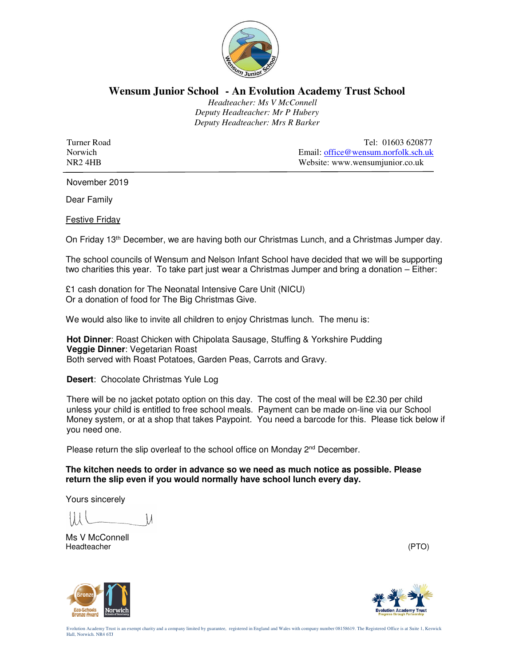

## **Wensum Junior School - An Evolution Academy Trust School**

 *Headteacher: Ms V McConnell Deputy Headteacher: Mr P Hubery Deputy Headteacher: Mrs R Barker* 

Turner Road Tel: 01603 620877<br>Norwich Email: office @wensum.norfolk.sch.uk Email: office@wensum.norfolk.sch.uk NR2 4HB Website: www.wensumjunior.co.uk

November 2019

Dear Family

Festive Friday

On Friday 13th December, we are having both our Christmas Lunch, and a Christmas Jumper day.

The school councils of Wensum and Nelson Infant School have decided that we will be supporting two charities this year. To take part just wear a Christmas Jumper and bring a donation – Either:

£1 cash donation for The Neonatal Intensive Care Unit (NICU) Or a donation of food for The Big Christmas Give.

We would also like to invite all children to enjoy Christmas lunch. The menu is:

**Hot Dinner**: Roast Chicken with Chipolata Sausage, Stuffing & Yorkshire Pudding **Veggie Dinner**: Vegetarian Roast Both served with Roast Potatoes, Garden Peas, Carrots and Gravy.

**Desert**: Chocolate Christmas Yule Log

There will be no jacket potato option on this day. The cost of the meal will be £2.30 per child unless your child is entitled to free school meals. Payment can be made on-line via our School Money system, or at a shop that takes Paypoint. You need a barcode for this. Please tick below if you need one.

Please return the slip overleaf to the school office on Monday  $2<sup>nd</sup>$  December.

**The kitchen needs to order in advance so we need as much notice as possible. Please return the slip even if you would normally have school lunch every day.** 

Yours sincerely

Ms V McConnell<br>Headteacher Headteacher (PTO)





Evolution Academy Trust is an exempt charity and a company limited by guarantee, registered in England and Wales with company number 08158619. The Registered Office is at Suite 1, Keswick Hall, Norwich. NR4 6TJ